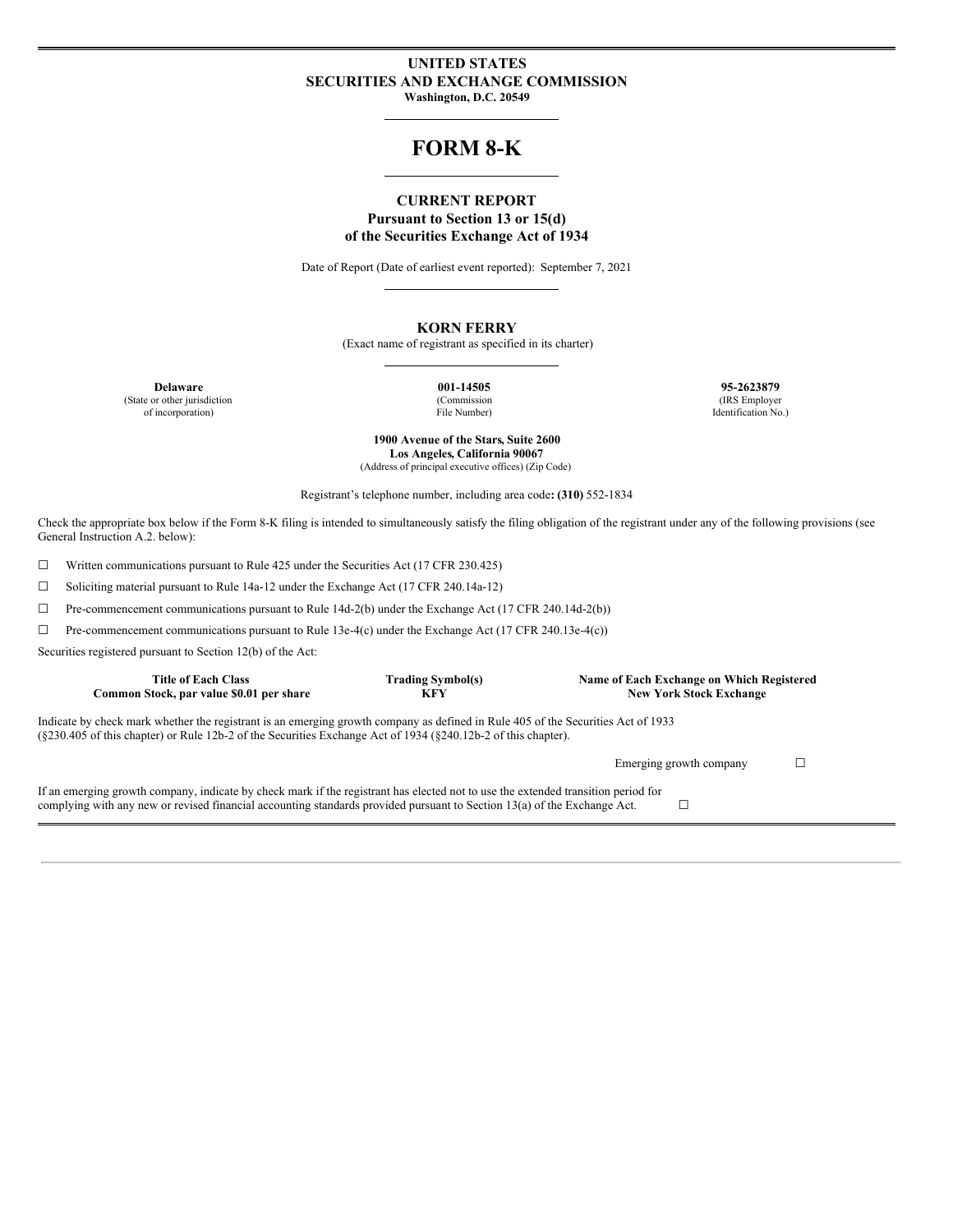#### **UNITED STATES SECURITIES AND EXCHANGE COMMISSION Washington, D.C. 20549**

## **FORM 8-K**

### **CURRENT REPORT Pursuant to Section 13 or 15(d) of the Securities Exchange Act of 1934**

Date of Report (Date of earliest event reported): September 7, 2021

#### **KORN FERRY**

(Exact name of registrant as specified in its charter)

**Delaware 001-14505 95-2623879** (State or other jurisdiction of incorporation)

(Commission File Number) (IRS Employer Identification No.)

**1900 Avenue of the Stars, Suite 2600 Los Angeles, California 90067** (Address of principal executive offices) (Zip Code)

Registrant's telephone number, including area code**: (310)** 552-1834

Check the appropriate box below if the Form 8-K filing is intended to simultaneously satisfy the filing obligation of the registrant under any of the following provisions (see General Instruction A.2. below):

☐ Written communications pursuant to Rule 425 under the Securities Act (17 CFR 230.425)

☐ Soliciting material pursuant to Rule 14a-12 under the Exchange Act (17 CFR 240.14a-12)

☐ Pre-commencement communications pursuant to Rule 14d-2(b) under the Exchange Act (17 CFR 240.14d-2(b))

☐ Pre-commencement communications pursuant to Rule 13e-4(c) under the Exchange Act (17 CFR 240.13e-4(c))

Securities registered pursuant to Section 12(b) of the Act:

| <b>Title of Each Class</b><br>Common Stock, par value \$0.01 per share                                                                                                                                                                                               | <b>Trading Symbol(s)</b><br><b>KFY</b> | Name of Each Exchange on Which Registered<br><b>New York Stock Exchange</b> |  |  |  |
|----------------------------------------------------------------------------------------------------------------------------------------------------------------------------------------------------------------------------------------------------------------------|----------------------------------------|-----------------------------------------------------------------------------|--|--|--|
| Indicate by check mark whether the registrant is an emerging growth company as defined in Rule 405 of the Securities Act of 1933<br>$(\xi 230.405 \text{ of this chapter})$ or Rule 12b-2 of the Securities Exchange Act of 1934 ( $\xi 240.12b-2$ of this chapter). |                                        |                                                                             |  |  |  |
|                                                                                                                                                                                                                                                                      |                                        | Emerging growth company                                                     |  |  |  |
| If an emerging growth company, indicate by check mark if the registrant has elected not to use the extended transition period for<br>complying with any new or revised financial accounting standards provided pursuant to Section 13(a) of the Exchange Act.        |                                        |                                                                             |  |  |  |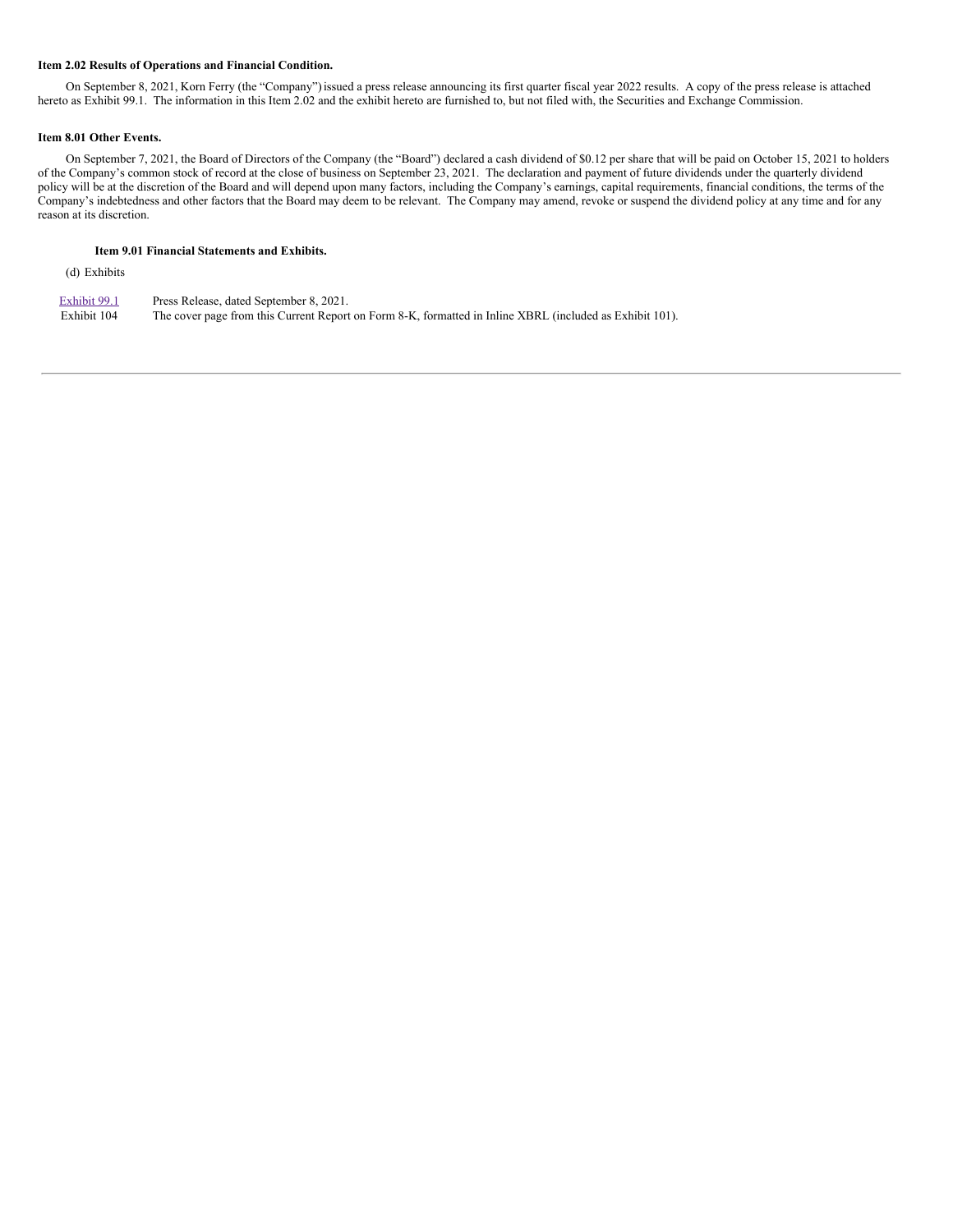#### **Item 2.02 Results of Operations and Financial Condition.**

On September 8, 2021, Korn Ferry (the "Company")issued a press release announcing its first quarter fiscal year 2022 results. A copy of the press release is attached hereto as Exhibit 99.1. The information in this Item 2.02 and the exhibit hereto are furnished to, but not filed with, the Securities and Exchange Commission.

#### **Item 8.01 Other Events.**

On September 7, 2021, the Board of Directors of the Company (the "Board") declared a cash dividend of \$0.12 per share that will be paid on October 15, 2021 to holders of the Company's common stock of record at the close of business on September 23, 2021. The declaration and payment of future dividends under the quarterly dividend policy will be at the discretion of the Board and will depend upon many factors, including the Company's earnings, capital requirements, financial conditions, the terms of the Company's indebtedness and other factors that the Board may deem to be relevant. The Company may amend, revoke or suspend the dividend policy at any time and for any reason at its discretion.

#### **Item 9.01 Financial Statements and Exhibits.**

(d) Exhibits

| Exhibit 99.1 | Press Release, dated September 8, 2021.                                                                  |
|--------------|----------------------------------------------------------------------------------------------------------|
| Exhibit 104  | The cover page from this Current Report on Form 8-K, formatted in Inline XBRL (included as Exhibit 101). |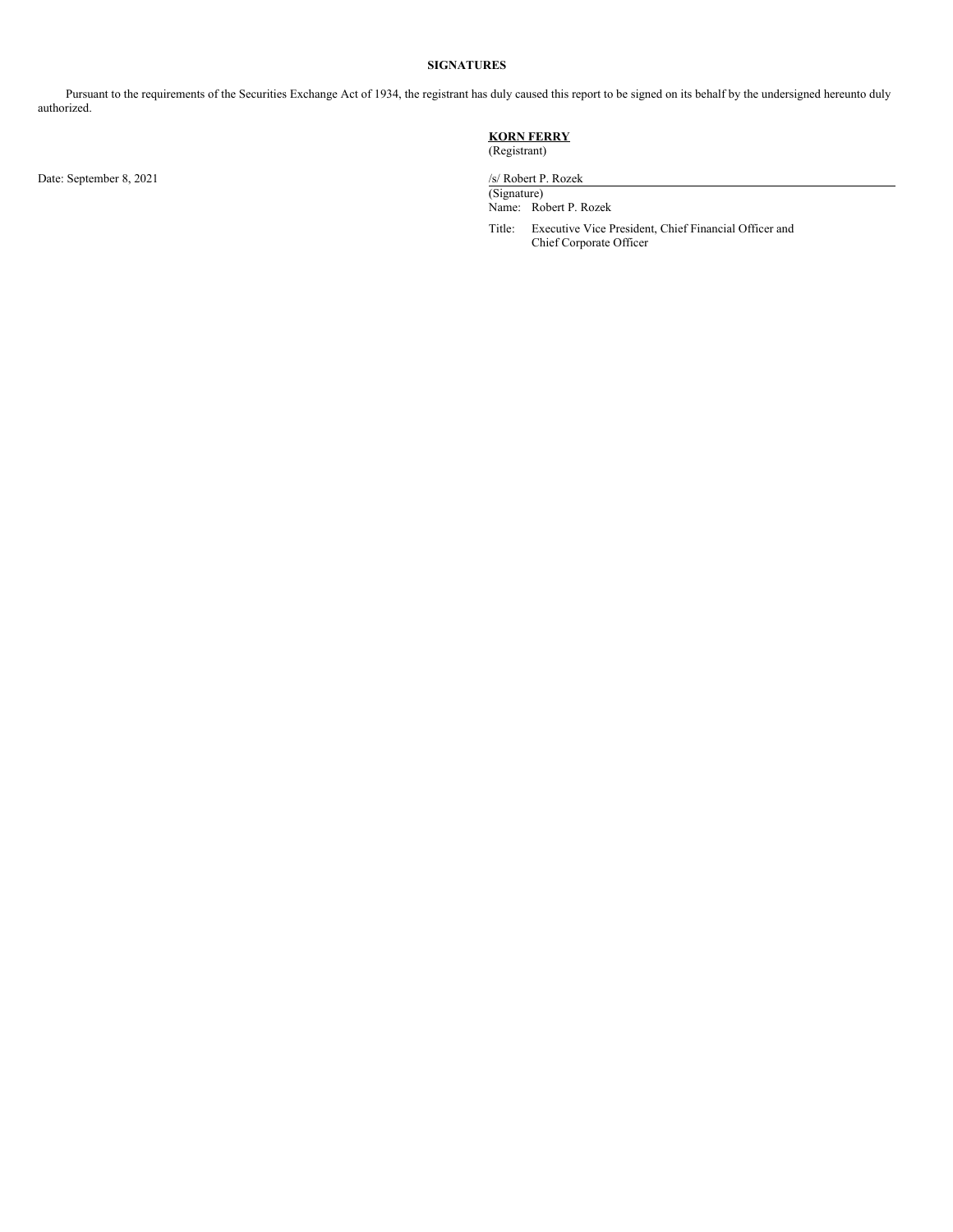#### **SIGNATURES**

Pursuant to the requirements of the Securities Exchange Act of 1934, the registrant has duly caused this report to be signed on its behalf by the undersigned hereunto duly authorized.

Date: September 8, 2021 /s/ Robert P. Rozek

#### **KORN FERRY** (Registrant)

(Signature) Name: Robert P. Rozek

Title: Executive Vice President, Chief Financial Officer and Chief Corporate Officer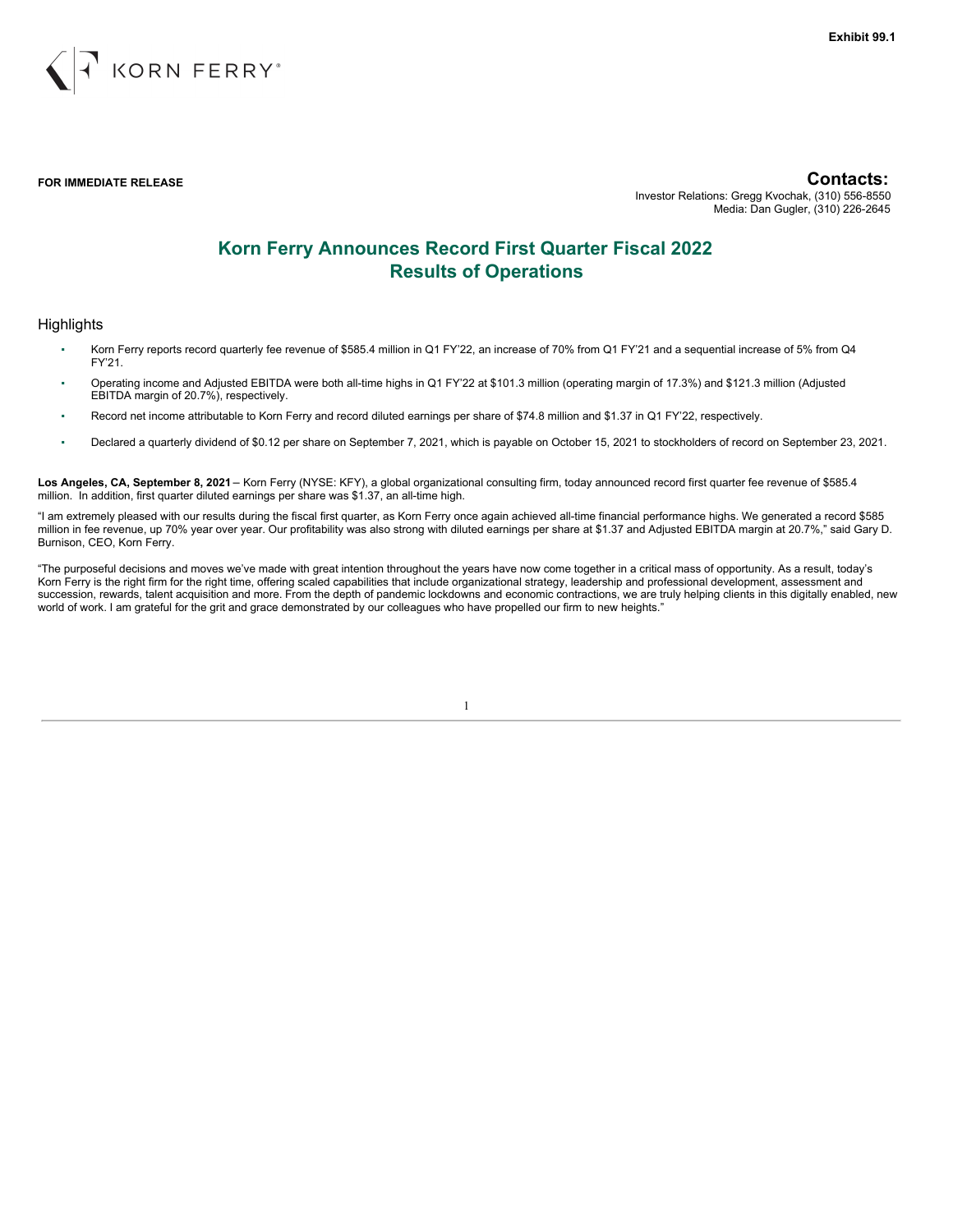

**FOR IMMEDIATE RELEASE Contacts:** Investor Relations: Gregg Kvochak, (310) 556-8550 Media: Dan Gugler, (310) 226-2645

## **Korn Ferry Announces Record First Quarter Fiscal 2022 Results of Operations**

## **Highlights**

- Korn Ferry reports record quarterly fee revenue of \$585.4 million in Q1 FY'22, an increase of 70% from Q1 FY'21 and a sequential increase of 5% from Q4 FY'21.
- Operating income and Adjusted EBITDA were both all-time highs in Q1 FY'22 at \$101.3 million (operating margin of 17.3%) and \$121.3 million (Adjusted EBITDA margin of 20.7%), respectively.
- Record net income attributable to Korn Ferry and record diluted earnings per share of \$74.8 million and \$1.37 in Q1 FY'22, respectively.
- Declared a quarterly dividend of \$0.12 per share on September 7, 2021, which is payable on October 15, 2021 to stockholders of record on September 23, 2021.

**Los Angeles, CA, September 8, 2021** – Korn Ferry (NYSE: KFY), a global organizational consulting firm, today announced record first quarter fee revenue of \$585.4 million. In addition, first quarter diluted earnings per share was \$1.37, an all-time high.

"I am extremely pleased with our results during the fiscal first quarter, as Korn Ferry once again achieved all-time financial performance highs. We generated a record \$585 million in fee revenue, up 70% year over year. Our profitability was also strong with diluted earnings per share at \$1.37 and Adjusted EBITDA margin at 20.7%," said Gary D. Burnison, CEO, Korn Ferry.

"The purposeful decisions and moves we've made with great intention throughout the years have now come together in a critical mass of opportunity. As a result, today's Korn Ferry is the right firm for the right time, offering scaled capabilities that include organizational strategy, leadership and professional development, assessment and succession, rewards, talent acquisition and more. From the depth of pandemic lockdowns and economic contractions, we are truly helping clients in this digitally enabled, new world of work. I am grateful for the grit and grace demonstrated by our colleagues who have propelled our firm to new heights."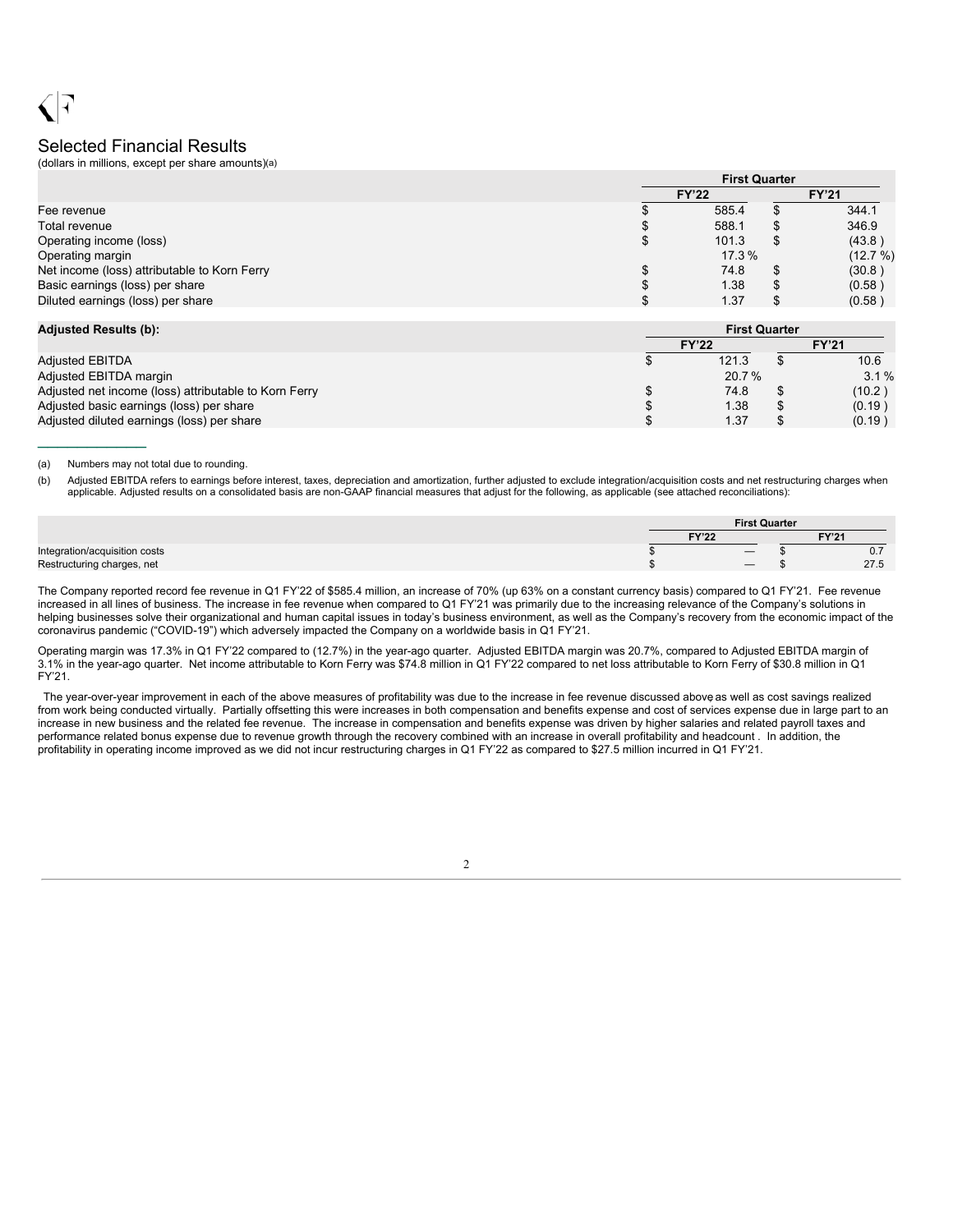## Selected Financial Results

(dollars in millions, except per share amounts)(a)

|                                              | <b>First Quarter</b> |     |              |  |
|----------------------------------------------|----------------------|-----|--------------|--|
|                                              | <b>FY'22</b>         |     | <b>FY'21</b> |  |
| Fee revenue                                  | 585.4                |     | 344.1        |  |
| Total revenue                                | 588.1                |     | 346.9        |  |
| Operating income (loss)                      | 101.3                | \$. | (43.8)       |  |
| Operating margin                             | 17.3 %               |     | (12.7%)      |  |
| Net income (loss) attributable to Korn Ferry | 74.8                 | \$. | (30.8)       |  |
| Basic earnings (loss) per share              | 1.38                 |     | (0.58)       |  |
| Diluted earnings (loss) per share            | 1.37                 |     | (0.58)       |  |

 $\frac{1}{2}$  ,  $\frac{1}{2}$  ,  $\frac{1}{2}$  ,  $\frac{1}{2}$  ,  $\frac{1}{2}$  ,  $\frac{1}{2}$ 

| <b>Adjusted Results (b):</b>                          |              | <b>First Quarter</b> |              |  |  |
|-------------------------------------------------------|--------------|----------------------|--------------|--|--|
|                                                       | <b>FY'22</b> |                      | <b>FY'21</b> |  |  |
| <b>Adjusted EBITDA</b>                                |              | 121.3                | 10.6         |  |  |
| Adjusted EBITDA margin                                |              | 20.7%                | $3.1\%$      |  |  |
| Adjusted net income (loss) attributable to Korn Ferry |              | 74.8                 | (10.2)       |  |  |
| Adjusted basic earnings (loss) per share              |              | 1.38                 | (0.19)       |  |  |
| Adjusted diluted earnings (loss) per share            |              | 1.37                 | (0.19)       |  |  |

(a) Numbers may not total due to rounding.

(b) Adjusted EBITDA refers to earnings before interest, taxes, depreciation and amortization, further adjusted to exclude integration/acquisition costs and net restructuring charges when applicable. Adjusted results on a consolidated basis are non-GAAP financial measures that adjust for the following, as applicable (see attached reconciliations):

|                               | <b>First Quarter</b> |                   |  |                |
|-------------------------------|----------------------|-------------------|--|----------------|
|                               | <b>FY'22</b>         |                   |  | FV'21          |
| Integration/acquisition costs |                      | $\qquad \qquad -$ |  | $\mathsf{v}$ . |
| Restructuring charges, net    |                      |                   |  | 27.5           |

The Company reported record fee revenue in Q1 FY'22 of \$585.4 million, an increase of 70% (up 63% on a constant currency basis) compared to Q1 FY'21. Fee revenue increased in all lines of business. The increase in fee revenue when compared to Q1 FY'21 was primarily due to the increasing relevance of the Company's solutions in helping businesses solve their organizational and human capital issues in today's business environment, as well as the Company's recovery from the economic impact of the coronavirus pandemic ("COVID-19") which adversely impacted the Company on a worldwide basis in Q1 FY'21.

Operating margin was 17.3% in Q1 FY'22 compared to (12.7%) in the year-ago quarter. Adjusted EBITDA margin was 20.7%, compared to Adjusted EBITDA margin of 3.1% in the year-ago quarter. Net income attributable to Korn Ferry was \$74.8 million in Q1 FY'22 compared to net loss attributable to Korn Ferry of \$30.8 million in Q1 FY'21.

The year-over-year improvement in each of the above measures of profitability was due to the increase in fee revenue discussed above as well as cost savings realized from work being conducted virtually. Partially offsetting this were increases in both compensation and benefits expense and cost of services expense due in large part to an increase in new business and the related fee revenue. The increase in compensation and benefits expense was driven by higher salaries and related payroll taxes and performance related bonus expense due to revenue growth through the recovery combined with an increase in overall profitability and headcount . In addition, the profitability in operating income improved as we did not incur restructuring charges in Q1 FY'22 as compared to \$27.5 million incurred in Q1 FY'21.

2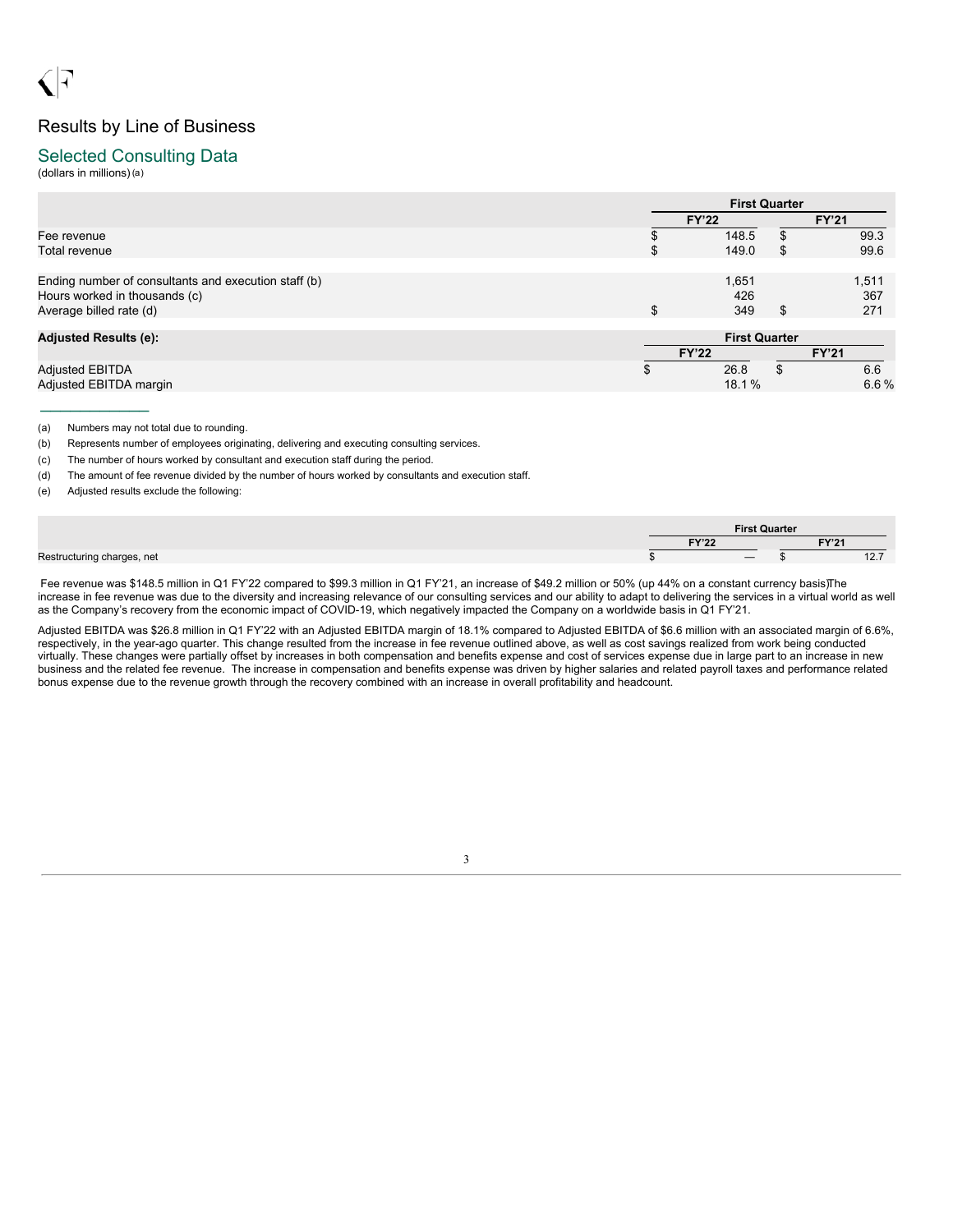# Results by Line of Business

## Selected Consulting Data

(dollars in millions)(a)

|                                                                                                                  |              | <b>First Quarter</b> |    |                     |  |
|------------------------------------------------------------------------------------------------------------------|--------------|----------------------|----|---------------------|--|
|                                                                                                                  |              | <b>FY'22</b>         |    | <b>FY'21</b>        |  |
| Fee revenue                                                                                                      |              | 148.5                |    | 99.3                |  |
| Total revenue                                                                                                    | ъ            | 149.0                |    | 99.6                |  |
| Ending number of consultants and execution staff (b)<br>Hours worked in thousands (c)<br>Average billed rate (d) | \$           | 1,651<br>426<br>349  | S  | 1,511<br>367<br>271 |  |
| <b>Adjusted Results (e):</b>                                                                                     |              | <b>First Quarter</b> |    |                     |  |
|                                                                                                                  | <b>FY'22</b> |                      |    | <b>FY'21</b>        |  |
| <b>Adjusted EBITDA</b>                                                                                           |              | 26.8                 | \$ | 6.6                 |  |
| Adjusted EBITDA margin                                                                                           |              | 18.1%                |    | 6.6%                |  |

(a) Numbers may not total due to rounding.

 $\frac{1}{2}$  ,  $\frac{1}{2}$  ,  $\frac{1}{2}$  ,  $\frac{1}{2}$  ,  $\frac{1}{2}$  ,  $\frac{1}{2}$  ,  $\frac{1}{2}$ 

(b) Represents number of employees originating, delivering and executing consulting services.

(c) The number of hours worked by consultant and execution staff during the period.

(d) The amount of fee revenue divided by the number of hours worked by consultants and execution staff.

(e) Adjusted results exclude the following:

|                            |              | <b>First Quarter</b> |                  |  |
|----------------------------|--------------|----------------------|------------------|--|
|                            | T1/100<br>14 |                      | EV'24            |  |
| Restructuring charges, net |              |                      | $40 -$<br>$\sim$ |  |

Fee revenue was \$148.5 million in Q1 FY'22 compared to \$99.3 million in Q1 FY'21, an increase of \$49.2 million or 50% (up 44% on a constant currency basis)The increase in fee revenue was due to the diversity and increasing relevance of our consulting services and our ability to adapt to delivering the services in a virtual world as well as the Company's recovery from the economic impact of COVID-19, which negatively impacted the Company on a worldwide basis in Q1 FY'21.

Adjusted EBITDA was \$26.8 million in Q1 FY'22 with an Adjusted EBITDA margin of 18.1% compared to Adjusted EBITDA of \$6.6 million with an associated margin of 6.6%, respectively, in the year-ago quarter. This change resulted from the increase in fee revenue outlined above, as well as cost savings realized from work being conducted virtually. These changes were partially offset by increases in both compensation and benefits expense and cost of services expense due in large part to an increase in new business and the related fee revenue. The increase in compensation and benefits expense was driven by higher salaries and related payroll taxes and performance related bonus expense due to the revenue growth through the recovery combined with an increase in overall profitability and headcount.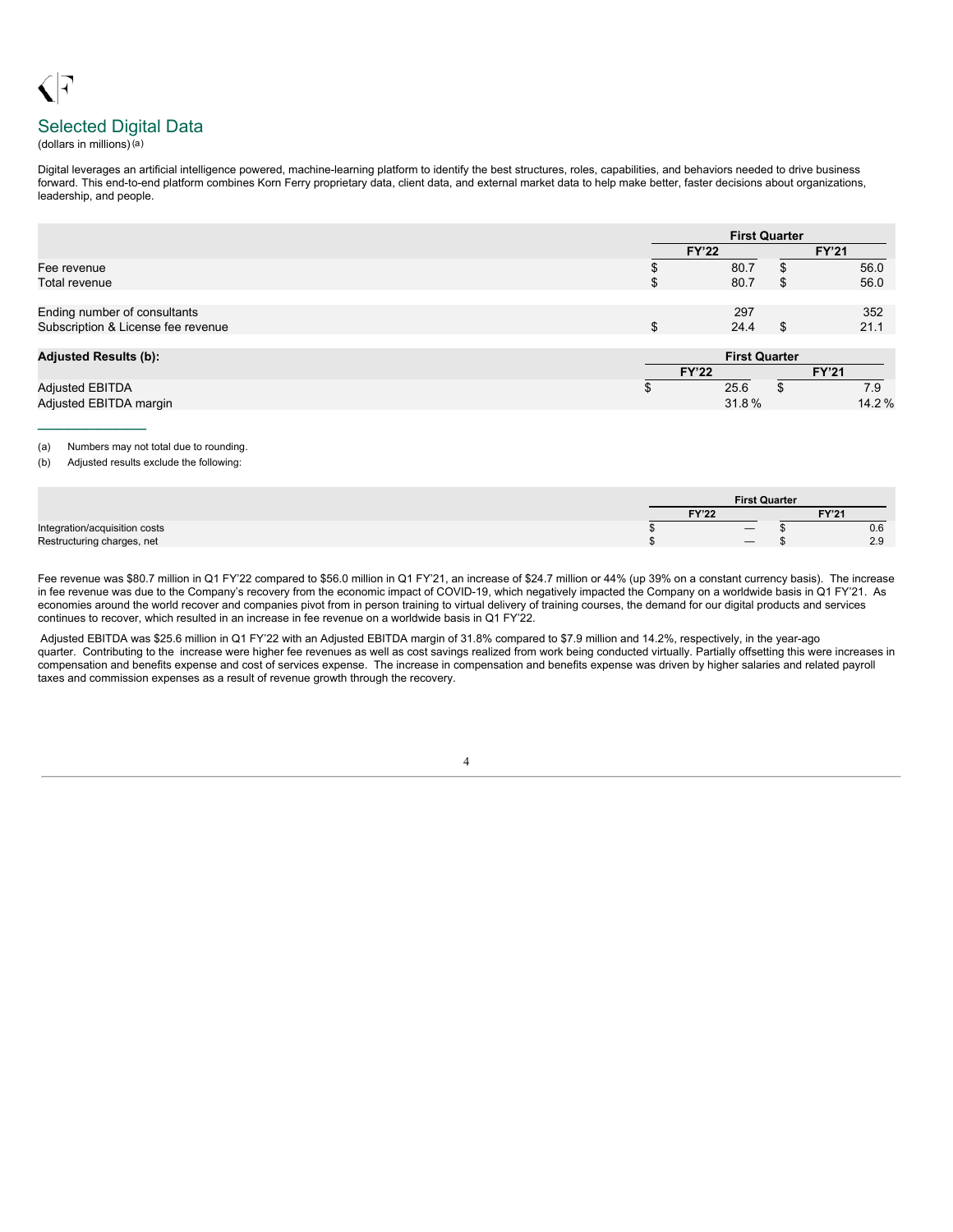# Selected Digital Data

(dollars in millions)(a)

Digital leverages an artificial intelligence powered, machine-learning platform to identify the best structures, roles, capabilities, and behaviors needed to drive business forward. This end-to-end platform combines Korn Ferry proprietary data, client data, and external market data to help make better, faster decisions about organizations, leadership, and people.

|                                                                    | <b>First Quarter</b> |  |              |  |
|--------------------------------------------------------------------|----------------------|--|--------------|--|
|                                                                    | <b>FY'22</b>         |  | <b>FY'21</b> |  |
| Fee revenue                                                        | 80.7                 |  | 56.0         |  |
| Total revenue                                                      | 80.7                 |  | 56.0         |  |
| Ending number of consultants<br>Subscription & License fee revenue | \$<br>297<br>24.4    |  | 352<br>21.1  |  |
| <b>Adjusted Results (b):</b>                                       | <b>First Quarter</b> |  |              |  |
|                                                                    | <b>FY'22</b>         |  | <b>FY'21</b> |  |
| <b>Adjusted EBITDA</b>                                             | 25.6                 |  | 7.9          |  |

Adjusted EBITDA margin 31.8 % 14.2 %

 $\frac{1}{2}$  ,  $\frac{1}{2}$  ,  $\frac{1}{2}$  ,  $\frac{1}{2}$  ,  $\frac{1}{2}$  ,  $\frac{1}{2}$  ,  $\frac{1}{2}$ 

#### (a) Numbers may not total due to rounding.

(b) Adjusted results exclude the following:

|                               | <b>First Quarter</b> |              |  |               |
|-------------------------------|----------------------|--------------|--|---------------|
|                               |                      | <b>FY'22</b> |  | <b>FY'21</b>  |
| Integration/acquisition costs |                      |              |  | 0.6           |
| Restructuring charges, net    |                      |              |  | 29<br><u></u> |

Fee revenue was \$80.7 million in Q1 FY'22 compared to \$56.0 million in Q1 FY'21, an increase of \$24.7 million or 44% (up 39% on a constant currency basis). The increase in fee revenue was due to the Company's recovery from the economic impact of COVID-19, which negatively impacted the Company on a worldwide basis in Q1 FY'21. As economies around the world recover and companies pivot from in person training to virtual delivery of training courses, the demand for our digital products and services continues to recover, which resulted in an increase in fee revenue on a worldwide basis in Q1 FY'22.

Adjusted EBITDA was \$25.6 million in Q1 FY'22 with an Adjusted EBITDA margin of 31.8% compared to \$7.9 million and 14.2%, respectively, in the year-ago quarter. Contributing to the increase were higher fee revenues as well as cost savings realized from work being conducted virtually. Partially offsetting this were increases in compensation and benefits expense and cost of services expense. The increase in compensation and benefits expense was driven by higher salaries and related payroll taxes and commission expenses as a result of revenue growth through the recovery.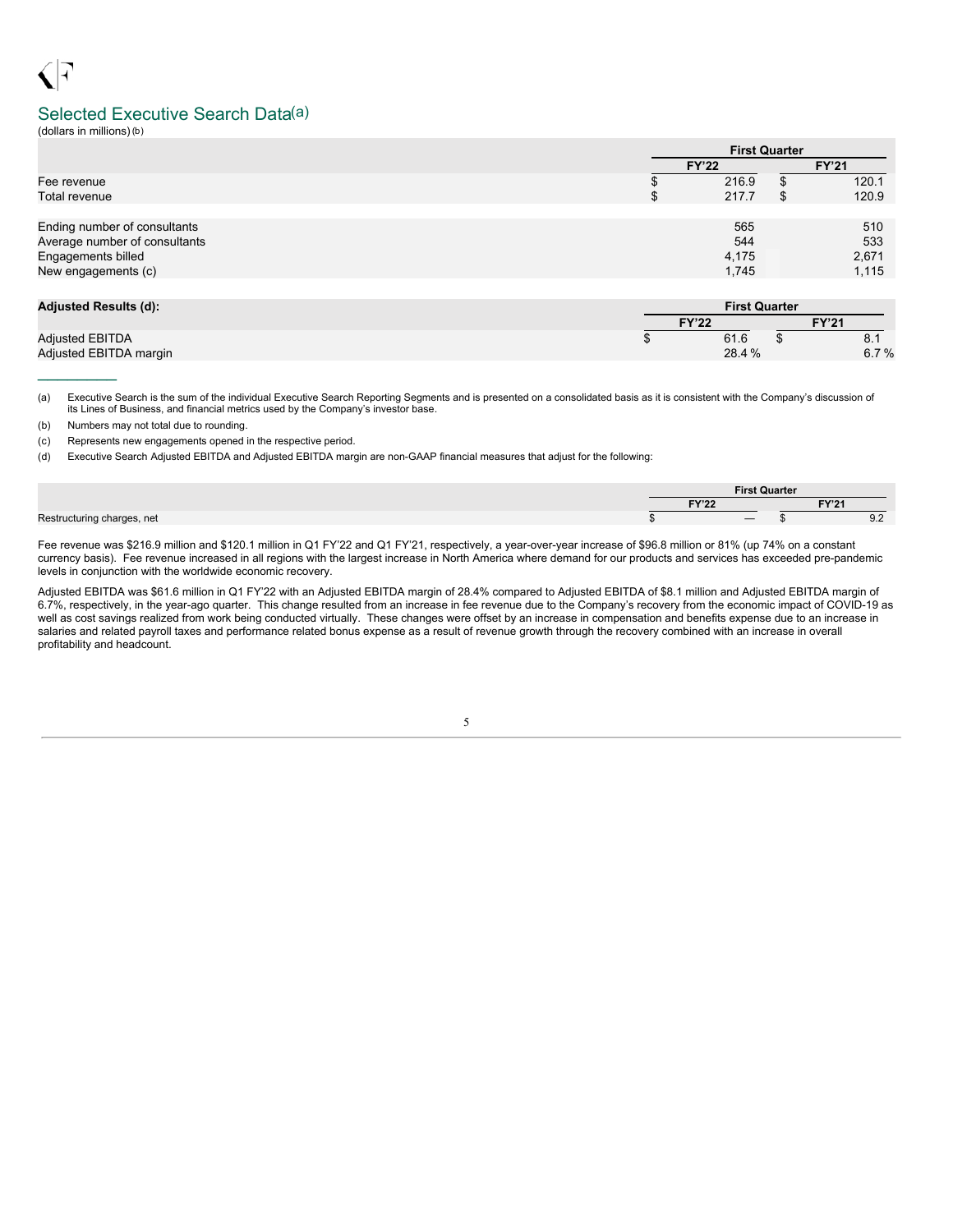## Selected Executive Search Data(a)

(dollars in millions)(b)

|                               |              | <b>First Quarter</b> |              |  |  |
|-------------------------------|--------------|----------------------|--------------|--|--|
|                               | <b>FY'22</b> |                      | <b>FY'21</b> |  |  |
| Fee revenue                   |              | 216.9                | 120.1        |  |  |
| Total revenue                 | \$           | 217.7                | 120.9        |  |  |
|                               |              |                      |              |  |  |
| Ending number of consultants  |              | 565                  | 510          |  |  |
| Average number of consultants |              | 544                  | 533          |  |  |
| Engagements billed            |              | 4,175                | 2,671        |  |  |
| New engagements (c)           |              | 1,745                | 1,115        |  |  |
|                               |              |                      |              |  |  |

| Adjusted Results (d):  | <b>First Quarter</b> |       |              |      |
|------------------------|----------------------|-------|--------------|------|
|                        | <b>FY'22</b>         |       | <b>FY'21</b> |      |
| <b>Adiusted EBITDA</b> |                      | 61.6  |              | 8.1  |
| Adjusted EBITDA margin |                      | 28.4% |              | 6.7% |

(a) Executive Search is the sum of the individual Executive Search Reporting Segments and is presented on a consolidated basis as it is consistent with the Company's discussion of its Lines of Business, and financial metrics used by the Company's investor base.

(b) Numbers may not total due to rounding.

(c) Represents new engagements opened in the respective period.

(d) Executive Search Adjusted EBITDA and Adjusted EBITDA margin are non-GAAP financial measures that adjust for the following:

|                            | <b>First Quarter</b>     |              |               |
|----------------------------|--------------------------|--------------|---------------|
|                            | <b>EVION</b>             | <b>FY'21</b> |               |
| Restructuring charges, net | $\overline{\phantom{0}}$ |              | $\cup . \sim$ |

Fee revenue was \$216.9 million and \$120.1 million in Q1 FY'22 and Q1 FY'21, respectively, a year-over-year increase of \$96.8 million or 81% (up 74% on a constant currency basis). Fee revenue increased in all regions with the largest increase in North America where demand for our products and services has exceeded pre-pandemic levels in conjunction with the worldwide economic recovery.

Adjusted EBITDA was \$61.6 million in Q1 FY'22 with an Adjusted EBITDA margin of 28.4% compared to Adjusted EBITDA of \$8.1 million and Adjusted EBITDA margin of 6.7%, respectively, in the year-ago quarter. This change resulted from an increase in fee revenue due to the Company's recovery from the economic impact of COVID-19 as well as cost savings realized from work being conducted virtually. These changes were offset by an increase in compensation and benefits expense due to an increase in salaries and related payroll taxes and performance related bonus expense as a result of revenue growth through the recovery combined with an increase in overall profitability and headcount.

5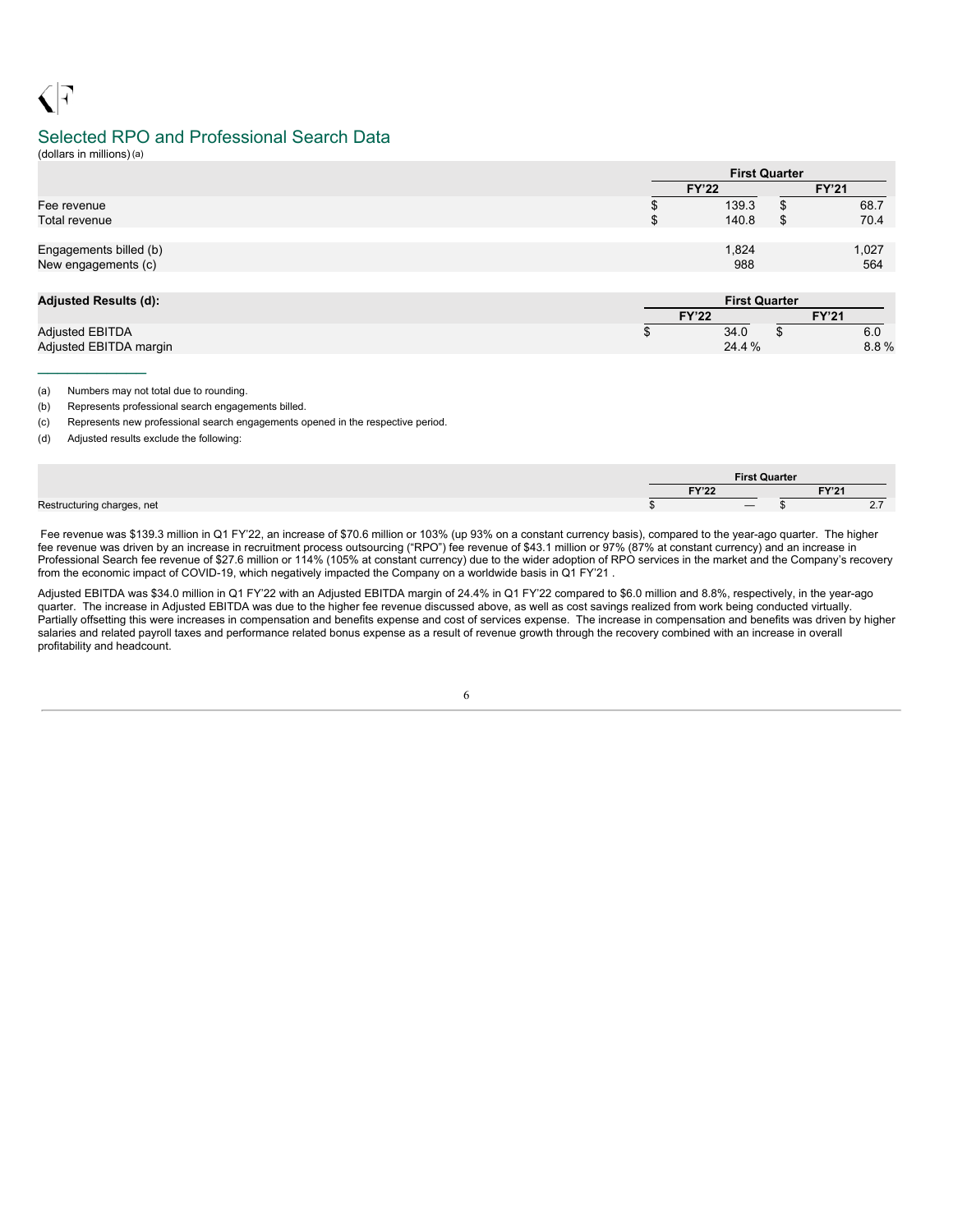# Selected RPO and Professional Search Data

(dollars in millions)(a)

 $\triangleleft$   $\Box$ 

 $\frac{1}{2}$  ,  $\frac{1}{2}$  ,  $\frac{1}{2}$  ,  $\frac{1}{2}$  ,  $\frac{1}{2}$  ,  $\frac{1}{2}$  ,  $\frac{1}{2}$ 

|                        |              | <b>First Quarter</b> |
|------------------------|--------------|----------------------|
|                        | <b>FY'22</b> | <b>FY'21</b>         |
| Fee revenue            |              | 68.7<br>139.3        |
| Total revenue          |              | 70.4<br>140.8        |
| Engagements billed (b) |              | 1,824<br>1,027       |
| New engagements (c)    |              | 988<br>564           |

| <b>Adjusted Results (d):</b> | <b>First Quarter</b> |  |              |  |  |  |  |  |  |
|------------------------------|----------------------|--|--------------|--|--|--|--|--|--|
|                              | <b>FY'22</b>         |  | <b>FY'21</b> |  |  |  |  |  |  |
| <b>Adjusted EBITDA</b>       | 34.0                 |  | 6.0          |  |  |  |  |  |  |
| Adjusted EBITDA margin       | 24.4%                |  | $8.8\%$      |  |  |  |  |  |  |

(a) Numbers may not total due to rounding.

(b) Represents professional search engagements billed.

(c) Represents new professional search engagements opened in the respective period.

(d) Adjusted results exclude the following:

|  |                      | <b>First Quarter</b> |              |
|--|----------------------|----------------------|--------------|
|  | EVIOO.<br>$\sqrt{2}$ |                      | <b>FY'21</b> |
|  |                      |                      | <u>.</u> .   |

Fee revenue was \$139.3 million in Q1 FY'22, an increase of \$70.6 million or 103% (up 93% on a constant currency basis), compared to the year-ago quarter. The higher fee revenue was driven by an increase in recruitment process outsourcing ("RPO") fee revenue of \$43.1 million or 97% (87% at constant currency) and an increase in Professional Search fee revenue of \$27.6 million or 114% (105% at constant currency) due to the wider adoption of RPO services in the market and the Company's recovery from the economic impact of COVID-19, which negatively impacted the Company on a worldwide basis in Q1 FY'21 .

Adjusted EBITDA was \$34.0 million in Q1 FY'22 with an Adjusted EBITDA margin of 24.4% in Q1 FY'22 compared to \$6.0 million and 8.8%, respectively, in the year-ago quarter. The increase in Adjusted EBITDA was due to the higher fee revenue discussed above, as well as cost savings realized from work being conducted virtually. Partially offsetting this were increases in compensation and benefits expense and cost of services expense. The increase in compensation and benefits was driven by higher salaries and related payroll taxes and performance related bonus expense as a result of revenue growth through the recovery combined with an increase in overall profitability and headcount.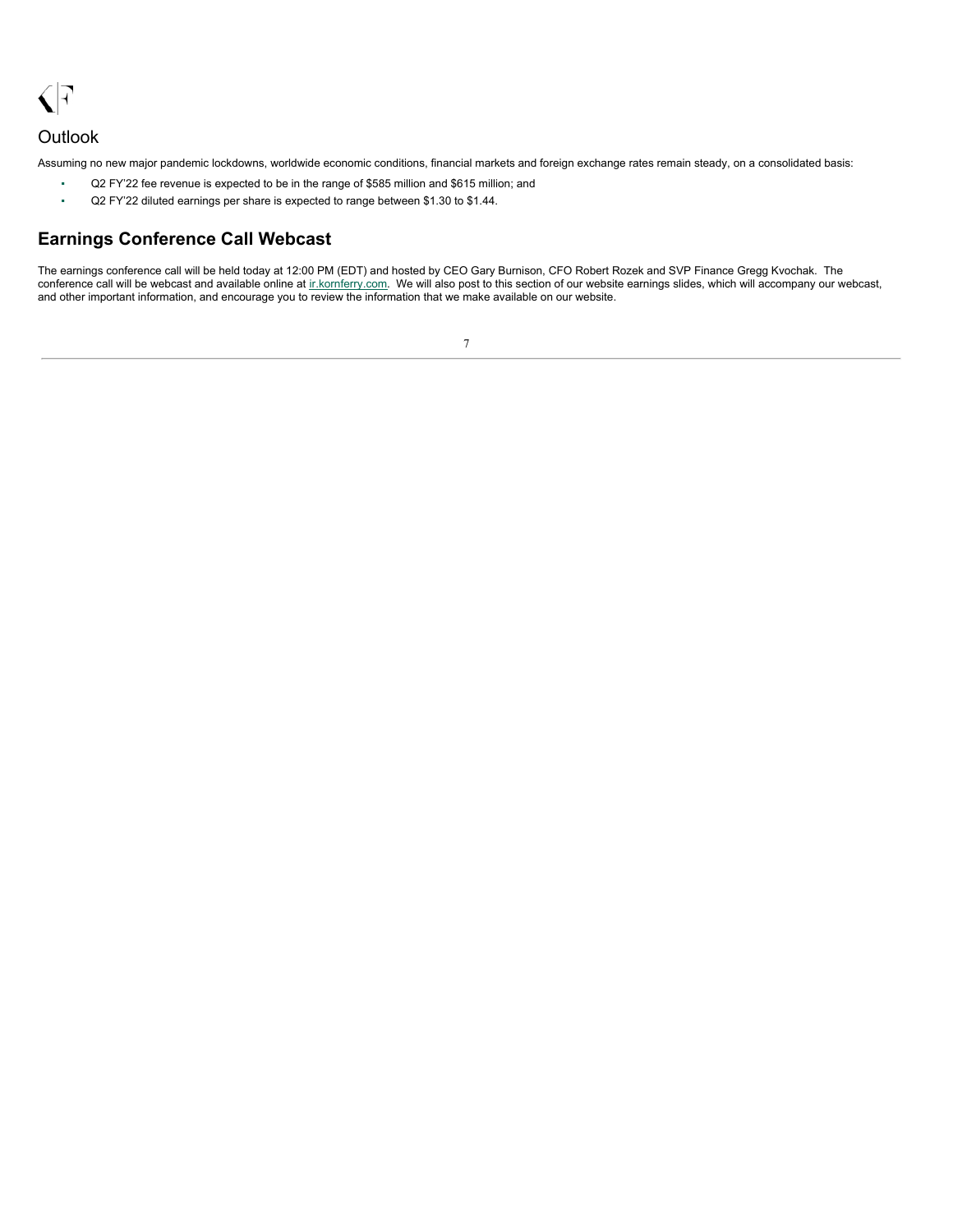<span id="page-9-0"></span> $\sqrt{7}$ 

## **Outlook**

Assuming no new major pandemic lockdowns, worldwide economic conditions, financial markets and foreign exchange rates remain steady, on a consolidated basis:

- Q2 FY'22 fee revenue is expected to be in the range of \$585 million and \$615 million; and
- Q2 FY'22 diluted earnings per share is expected to range between \$1.30 to \$1.44.

## **Earnings Conference Call Webcast**

The earnings conference call will be held today at 12:00 PM (EDT) and hosted by CEO Gary Burnison, CFO Robert Rozek and SVP Finance Gregg Kvochak. The conference call will be webcast and available online at inkornferry.com. We will also post to this section of our website earnings slides, which will accompany our webcast, and other important information, and encourage you to review the information that we make available on our website.

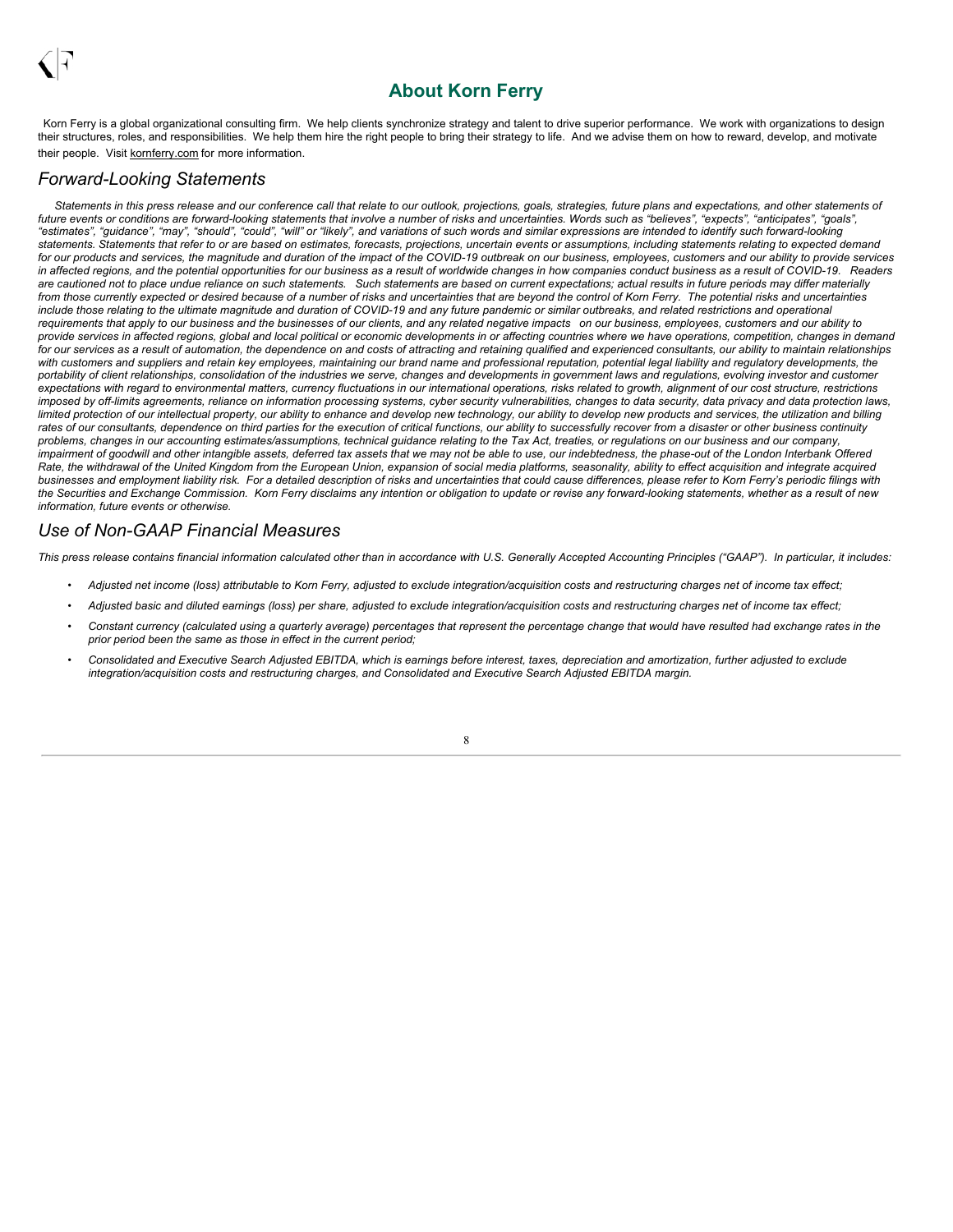## **About Korn Ferry**

Korn Ferry is a global organizational consulting firm. We help clients synchronize strategy and talent to drive superior performance. We work with organizations to design their structures, roles, and responsibilities. We help them hire the right people to bring their strategy to life. And we advise them on how to reward, develop, and motivate their people. Visit kornferry.com for more information.

## *Forward-Looking Statements*

Statements in this press release and our conference call that relate to our outlook, projections, goals, strategies, future plans and expectations, and other statements of future events or conditions are forward-looking statements that involve a number of risks and uncertainties. Words such as "believes" "axpects" "anticipates" "goals" "estimates", "guidance", "may", "should", "could", "will" or "likely", and variations of such words and similar expressions are intended to identify such forward-looking statements. Statements that refer to or are based on estimates, forecasts, projections, uncertain events or assumptions, including statements relating to expected demand for our products and services, the magnitude and duration of the impact of the COVID-19 outbreak on our business, employees, customers and our ability to provide services in affected regions, and the potential opportunities for our business as a result of worldwide changes in how companies conduct business as a result of COVID-19. Readers are cautioned not to place undue reliance on such statements. Such statements are based on current expectations; actual results in future periods may differ materially from those currently expected or desired because of a number of risks and uncertainties that are beyond the control of Korn Ferry. The potential risks and uncertainties include those relating to the ultimate magnitude and duration of COVID-19 and any future pandemic or similar outbreaks, and related restrictions and operational requirements that apply to our business and the businesses of our clients, and any related negative impacts on our business, employees, customers and our ability to provide services in affected regions, global and local political or economic developments in or affecting countries where we have operations, competition, changes in demand for our services as a result of automation, the dependence on and costs of attracting and retaining qualified and experienced consultants, our ability to maintain relationships with customers and suppliers and retain key employees, maintaining our brand name and professional reputation, potential legal liability and regulatory developments, the portability of client relationships, consolidation of the industries we serve, changes and developments in government laws and regulations, evolving investor and customer expectations with regard to environmental matters, currency fluctuations in our international operations, risks related to growth, alignment of our cost structure, restrictions imposed by off-limits agreements, reliance on information processing systems, cyber security vulnerabilities, changes to data security, data privacy and data protection laws, limited protection of our intellectual property, our ability to enhance and develop new technology, our ability to develop new products and services, the utilization and billing rates of our consultants, dependence on third parties for the execution of critical functions, our ability to successfully recover from a disaster or other business continuity problems, changes in our accounting estimates/assumptions, technical guidance relating to the Tax Act, treaties, or regulations on our business and our company, impairment of goodwill and other intangible assets, deferred tax assets that we may not be able to use, our indebtedness, the phase-out of the London Interbank Offered Rate, the withdrawal of the United Kingdom from the European Union, expansion of social media platforms, seasonality, ability to effect acquisition and integrate acquired businesses and employment liability risk. For a detailed description of risks and uncertainties that could cause differences, please refer to Korn Ferry's periodic filings with the Securities and Exchange Commission. Korn Ferry disclaims any intention or obligation to update or revise any forward-looking statements, whether as a result of new *information, future events or otherwise.*

## *Use of Non-GAAP Financial Measures*

This press release contains financial information calculated other than in accordance with U.S. Generally Accepted Accounting Principles ("GAAP"). In particular, it includes:

- Adjusted net income (loss) attributable to Korn Ferry, adjusted to exclude integration/acquisition costs and restructuring charges net of income tax effect;
- Adjusted basic and diluted earnings (loss) per share, adjusted to exclude integration/acquisition costs and restructuring charges net of income tax effect;
- Constant currency (calculated using a quarterly average) percentages that represent the percentage change that would have resulted had exchange rates in the *prior period been the same as those in effect in the current period;*
- Consolidated and Executive Search Adjusted EBITDA, which is earnings before interest, taxes, depreciation and amortization, further adjusted to exclude *integration/acquisition costs and restructuring charges, and Consolidated and Executive Search Adjusted EBITDA margin.*

8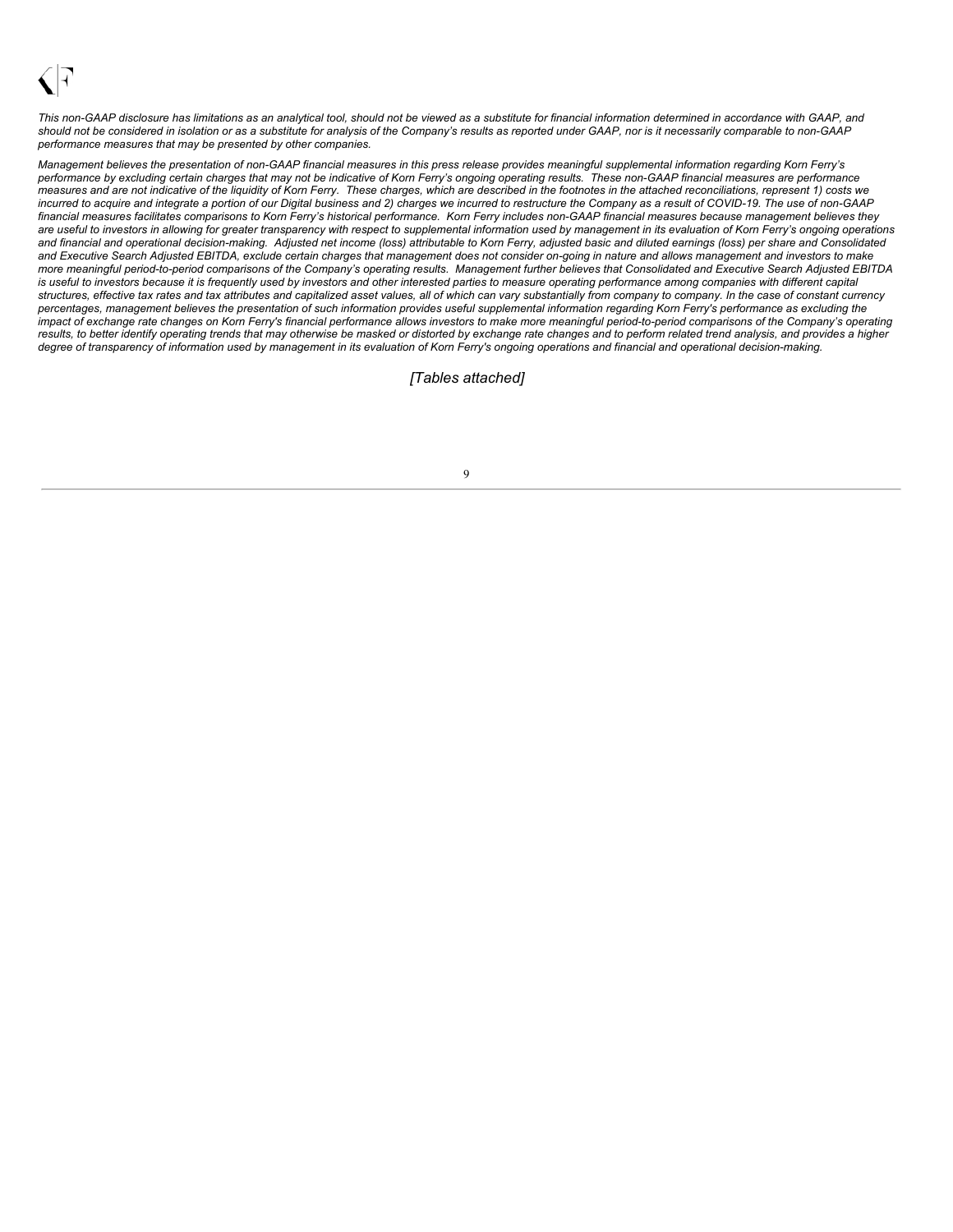This non-GAAP disclosure has limitations as an analytical tool, should not be viewed as a substitute for financial information determined in accordance with GAAP, and should not be considered in isolation or as a substitute for analysis of the Company's results as reported under GAAP, nor is it necessarily comparable to non-GAAP *performance measures that may be presented by other companies.*

Management believes the presentation of non-GAAP financial measures in this press release provides meaningful supplemental information regarding Korn Ferry's performance by excluding certain charges that may not be indicative of Korn Ferry's ongoing operating results. These non-GAAP financial measures are performance measures and are not indicative of the liquidity of Korn Ferry. These charges, which are described in the footnotes in the attached reconciliations, represent 1) costs we incurred to acquire and integrate a portion of our Digital business and 2) charges we incurred to restructure the Company as a result of COVID-19. The use of non-GAAP financial measures facilitates comparisons to Korn Ferry's historical performance. Korn Ferry includes non-GAAP financial measures because management believes they are useful to investors in allowing for greater transparency with respect to supplemental information used by management in its evaluation of Korn Ferry's ongoing operations and financial and operational decision-making. Adjusted net income (loss) attributable to Korn Ferry, adjusted basic and diluted earnings (loss) per share and Consolidated and Executive Search Adjusted EBITDA, exclude certain charges that management does not consider on-going in nature and allows management and investors to make more meaningful period-to-period comparisons of the Company's operating results. Management further believes that Consolidated and Executive Search Adjusted EBITDA is useful to investors because it is frequently used by investors and other interested parties to measure operating performance among companies with different capital structures, effective tax rates and tax attributes and capitalized asset values, all of which can vary substantially from company to company. In the case of constant currency percentages, management believes the presentation of such information provides useful supplemental information regarding Korn Ferry's performance as excluding the impact of exchange rate changes on Korn Ferry's financial performance allows investors to make more meaningful period-to-period comparisons of the Company's operating results, to better identify operating trends that may otherwise be masked or distorted by exchange rate changes and to perform related trend analysis, and provides a higher degree of transparency of information used by management in its evaluation of Korn Ferry's ongoing operations and financial and operational decision-making.

*[Tables attached]*

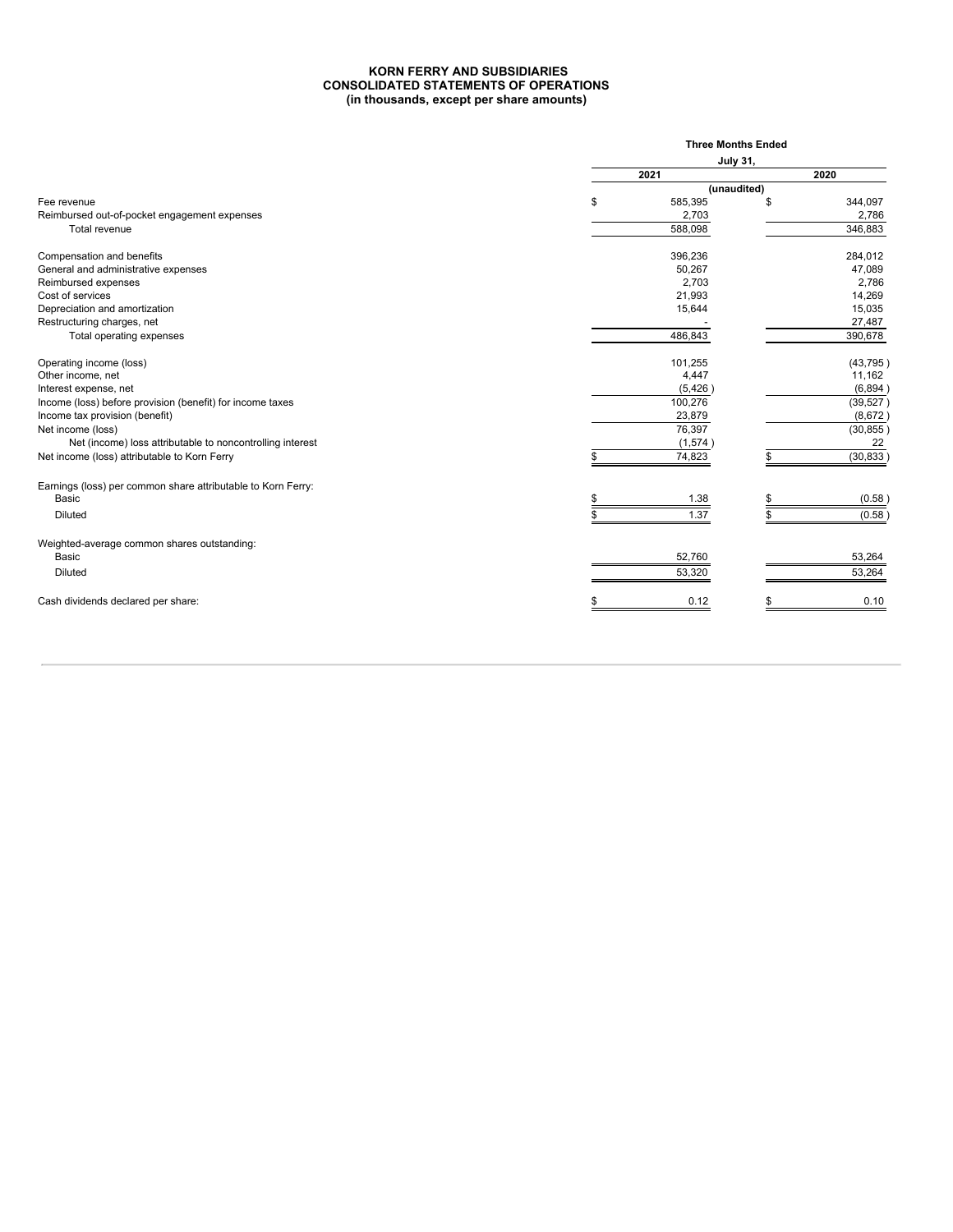#### **KORN FERRY AND SUBSIDIARIES CONSOLIDATED STATEMENTS OF OPERATIONS (in thousands, except per share amounts)**

|                                                              |      | <b>Three Months Ended</b> |           |
|--------------------------------------------------------------|------|---------------------------|-----------|
|                                                              |      | <b>July 31,</b>           |           |
|                                                              | 2021 |                           | 2020      |
|                                                              |      | (unaudited)               |           |
| Fee revenue                                                  | \$   | 585,395                   | 344.097   |
| Reimbursed out-of-pocket engagement expenses                 |      | 2,703                     | 2,786     |
| Total revenue                                                |      | 588,098                   | 346,883   |
| Compensation and benefits                                    |      | 396,236                   | 284,012   |
| General and administrative expenses                          |      | 50,267                    | 47,089    |
| Reimbursed expenses                                          |      | 2,703                     | 2,786     |
| Cost of services                                             |      | 21,993                    | 14,269    |
| Depreciation and amortization                                |      | 15,644                    | 15,035    |
| Restructuring charges, net                                   |      |                           | 27,487    |
| Total operating expenses                                     |      | 486,843                   | 390,678   |
| Operating income (loss)                                      |      | 101,255                   | (43, 795) |
| Other income, net                                            |      | 4,447                     | 11,162    |
| Interest expense, net                                        |      | (5, 426)                  | (6,894)   |
| Income (loss) before provision (benefit) for income taxes    |      | 100,276                   | (39, 527) |
| Income tax provision (benefit)                               |      | 23,879                    | (8,672)   |
| Net income (loss)                                            |      | 76,397                    | (30, 855) |
| Net (income) loss attributable to noncontrolling interest    |      | (1,574)                   | 22        |
| Net income (loss) attributable to Korn Ferry                 |      | 74,823                    | (30, 833) |
| Earnings (loss) per common share attributable to Korn Ferry: |      |                           |           |
| Basic                                                        |      | 1.38                      | (0.58)    |
| <b>Diluted</b>                                               |      | 1.37                      | (0.58)    |
| Weighted-average common shares outstanding:                  |      |                           |           |
| Basic                                                        |      | 52,760                    | 53,264    |
| <b>Diluted</b>                                               |      | 53,320                    | 53,264    |
| Cash dividends declared per share:                           |      | 0.12                      | 0.10      |
|                                                              |      |                           |           |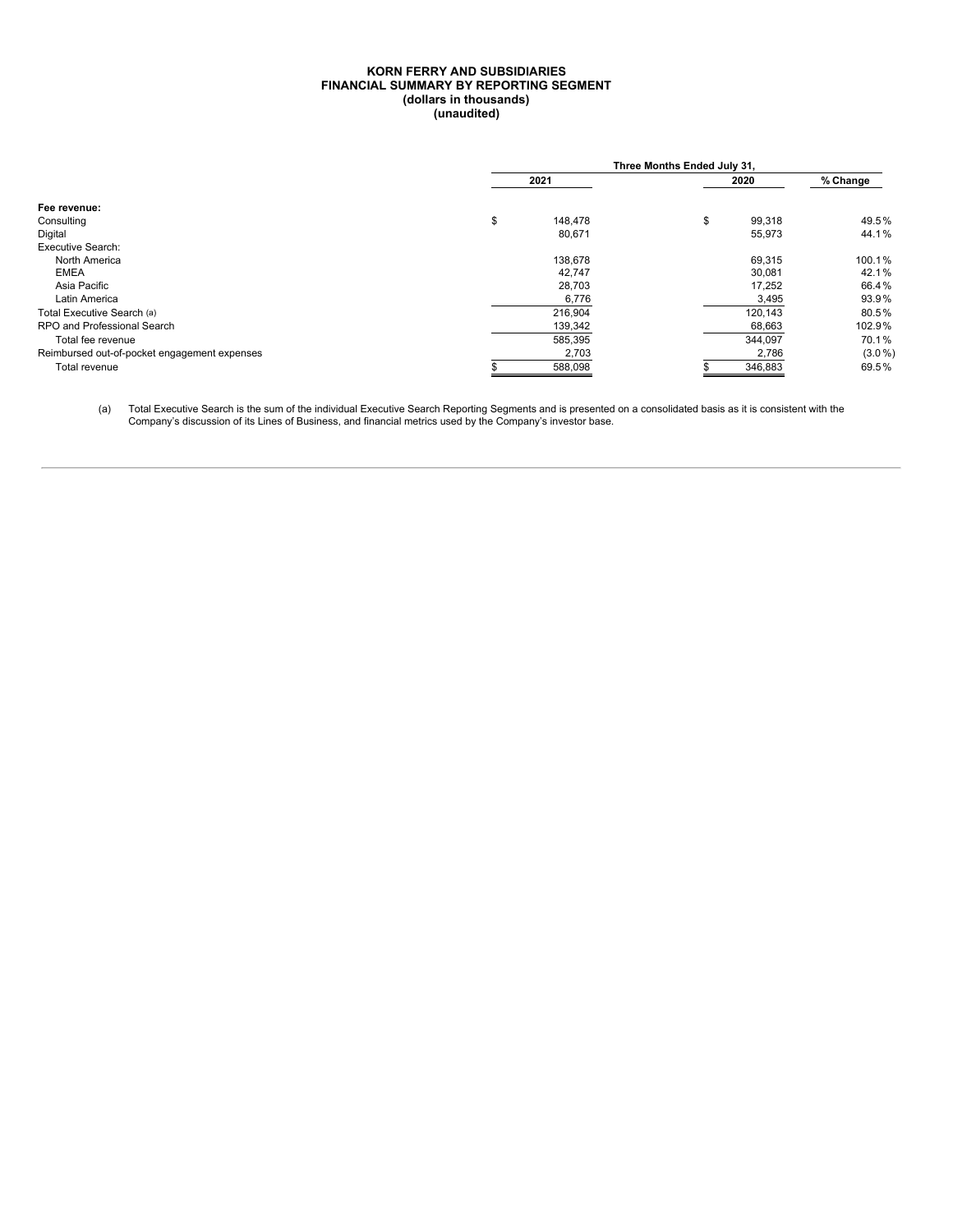#### **KORN FERRY AND SUBSIDIARIES FINANCIAL SUMMARY BY REPORTING SEGMENT (dollars in thousands) (unaudited)**

|                                              | Three Months Ended July 31, |    |         |           |  |  |  |  |  |  |
|----------------------------------------------|-----------------------------|----|---------|-----------|--|--|--|--|--|--|
|                                              | 2021                        |    |         |           |  |  |  |  |  |  |
| Fee revenue:                                 |                             |    |         |           |  |  |  |  |  |  |
| Consulting                                   | \$<br>148.478               | \$ | 99,318  | 49.5%     |  |  |  |  |  |  |
| Digital                                      | 80,671                      |    | 55,973  | 44.1%     |  |  |  |  |  |  |
| <b>Executive Search:</b>                     |                             |    |         |           |  |  |  |  |  |  |
| North America                                | 138,678                     |    | 69,315  | 100.1%    |  |  |  |  |  |  |
| <b>EMEA</b>                                  | 42,747                      |    | 30,081  | 42.1%     |  |  |  |  |  |  |
| Asia Pacific                                 | 28,703                      |    | 17,252  | 66.4%     |  |  |  |  |  |  |
| Latin America                                | 6,776                       |    | 3,495   | 93.9%     |  |  |  |  |  |  |
| Total Executive Search (a)                   | 216,904                     |    | 120,143 | 80.5%     |  |  |  |  |  |  |
| RPO and Professional Search                  | 139,342                     |    | 68,663  | 102.9%    |  |  |  |  |  |  |
| Total fee revenue                            | 585,395                     |    | 344,097 | 70.1%     |  |  |  |  |  |  |
| Reimbursed out-of-pocket engagement expenses | 2,703                       |    | 2,786   | $(3.0\%)$ |  |  |  |  |  |  |
| Total revenue                                | 588,098                     |    | 346,883 | 69.5%     |  |  |  |  |  |  |

(a) Total Executive Search is the sum of the individual Executive Search Reporting Segments and is presented on a consolidated basis as it is consistent with the<br>Company's discussion of its Lines of Business, and financial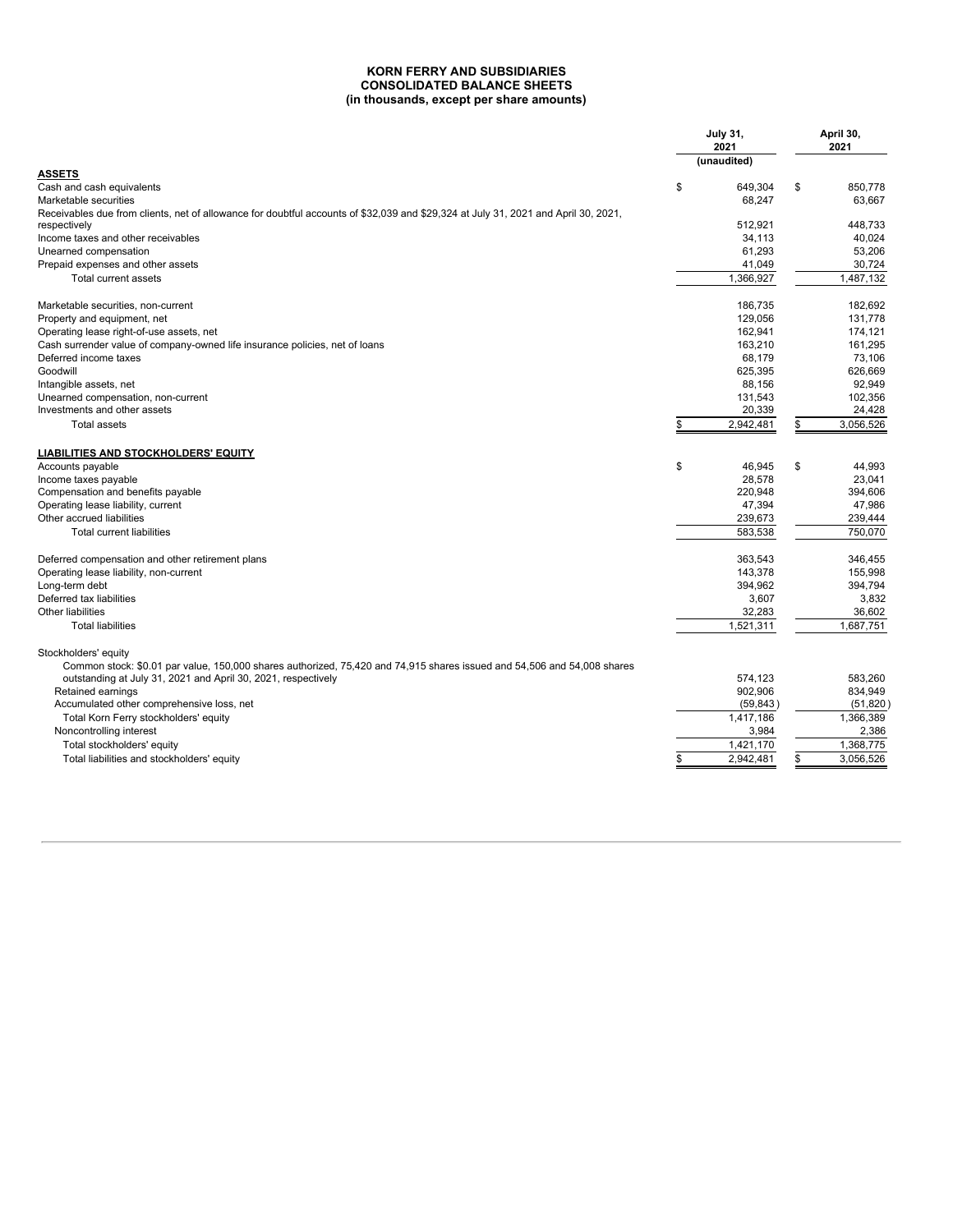#### **KORN FERRY AND SUBSIDIARIES CONSOLIDATED BALANCE SHEETS (in thousands, except per share amounts)**

|                                                                                                                                    | <b>July 31,</b><br>2021 | April 30,<br>2021 |  |
|------------------------------------------------------------------------------------------------------------------------------------|-------------------------|-------------------|--|
| <b>ASSETS</b>                                                                                                                      | (unaudited)             |                   |  |
| Cash and cash equivalents                                                                                                          | \$<br>649,304           | \$<br>850.778     |  |
| Marketable securities                                                                                                              | 68,247                  | 63.667            |  |
| Receivables due from clients, net of allowance for doubtful accounts of \$32,039 and \$29,324 at July 31, 2021 and April 30, 2021, |                         |                   |  |
| respectively                                                                                                                       | 512,921                 | 448,733           |  |
| Income taxes and other receivables                                                                                                 | 34,113                  | 40.024            |  |
| Unearned compensation                                                                                                              | 61,293                  | 53.206            |  |
| Prepaid expenses and other assets                                                                                                  | 41,049                  | 30,724            |  |
| Total current assets                                                                                                               | 1,366,927               | 1,487,132         |  |
|                                                                                                                                    |                         |                   |  |
| Marketable securities, non-current                                                                                                 | 186,735                 | 182,692           |  |
| Property and equipment, net                                                                                                        | 129.056                 | 131.778           |  |
| Operating lease right-of-use assets, net                                                                                           | 162,941                 | 174.121           |  |
| Cash surrender value of company-owned life insurance policies, net of loans                                                        | 163,210                 | 161,295           |  |
| Deferred income taxes                                                                                                              | 68,179                  | 73,106            |  |
| Goodwill                                                                                                                           | 625,395                 | 626,669           |  |
| Intangible assets, net                                                                                                             | 88.156                  | 92,949            |  |
| Unearned compensation, non-current                                                                                                 | 131,543                 | 102,356           |  |
| Investments and other assets                                                                                                       | 20,339                  | 24,428            |  |
| <b>Total assets</b>                                                                                                                | \$<br>2,942,481         | \$<br>3,056,526   |  |
| <b>LIABILITIES AND STOCKHOLDERS' EQUITY</b>                                                                                        |                         |                   |  |
| Accounts payable                                                                                                                   | \$<br>46,945            | \$<br>44,993      |  |
| Income taxes payable                                                                                                               | 28.578                  | 23.041            |  |
| Compensation and benefits payable                                                                                                  | 220,948                 | 394,606           |  |
| Operating lease liability, current                                                                                                 | 47,394                  | 47,986            |  |
| Other accrued liabilities                                                                                                          | 239,673                 | 239,444           |  |
|                                                                                                                                    |                         |                   |  |
| <b>Total current liabilities</b>                                                                                                   | 583,538                 | 750.070           |  |
| Deferred compensation and other retirement plans                                                                                   | 363,543                 | 346,455           |  |
| Operating lease liability, non-current                                                                                             | 143,378                 | 155,998           |  |
| Long-term debt                                                                                                                     | 394,962                 | 394,794           |  |
| Deferred tax liabilities                                                                                                           | 3,607                   | 3,832             |  |
| Other liabilities                                                                                                                  | 32,283                  | 36,602            |  |
| <b>Total liabilities</b>                                                                                                           | 1,521,311               | 1,687,751         |  |
| Stockholders' equity                                                                                                               |                         |                   |  |
| Common stock: \$0.01 par value, 150,000 shares authorized, 75,420 and 74,915 shares issued and 54,506 and 54,008 shares            |                         |                   |  |
| outstanding at July 31, 2021 and April 30, 2021, respectively                                                                      | 574.123                 | 583.260           |  |
| Retained earnings                                                                                                                  | 902,906                 | 834,949           |  |
| Accumulated other comprehensive loss, net                                                                                          | (59, 843)               | (51, 820)         |  |
| Total Korn Ferry stockholders' equity                                                                                              | 1,417,186               | 1,366,389         |  |
| Noncontrolling interest                                                                                                            | 3,984                   | 2,386             |  |
| Total stockholders' equity                                                                                                         | 1,421,170               | 1,368,775         |  |
| Total liabilities and stockholders' equity                                                                                         | \$<br>2.942.481         | \$<br>3.056.526   |  |
|                                                                                                                                    |                         |                   |  |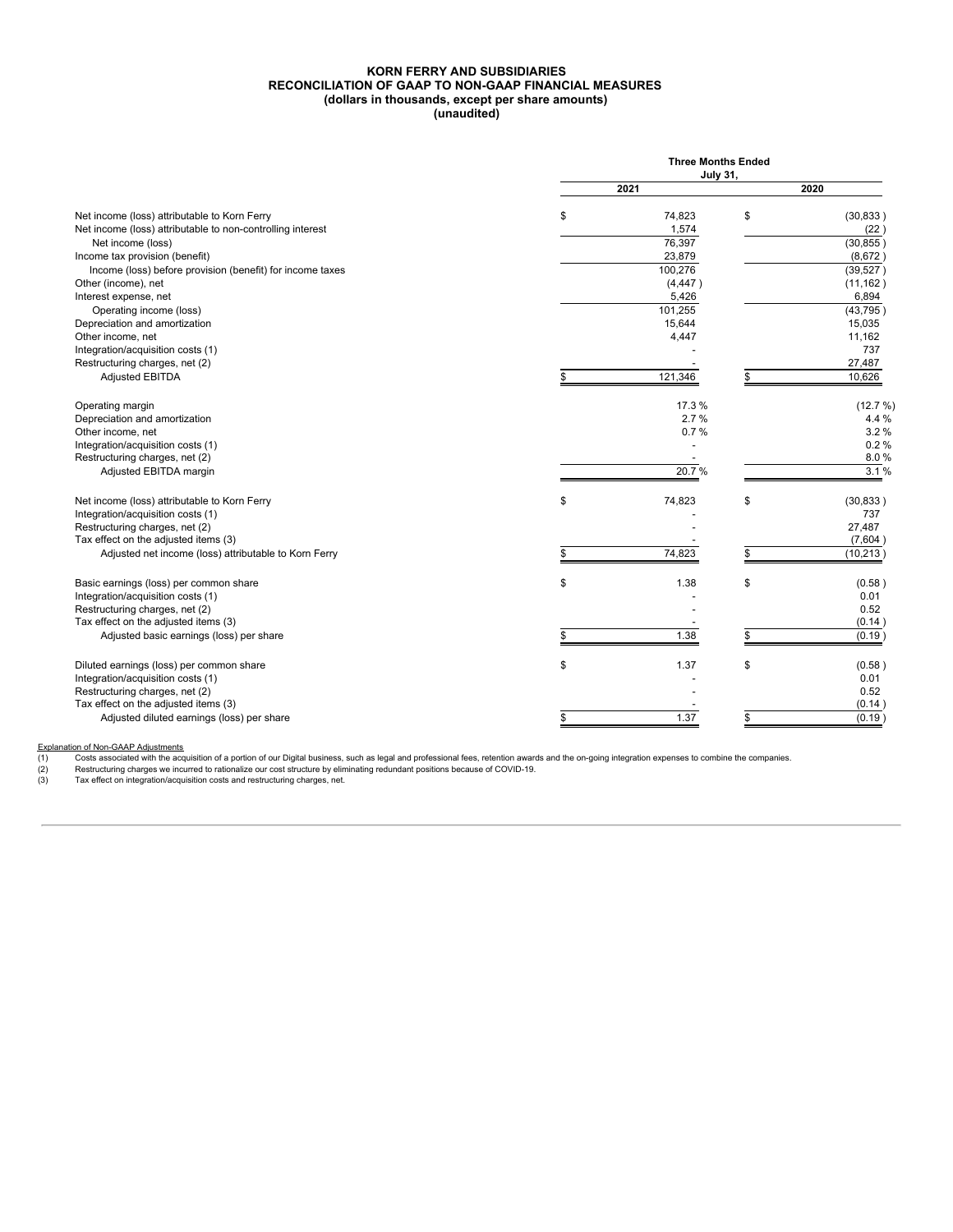#### **KORN FERRY AND SUBSIDIARIES RECONCILIATION OF GAAP TO NON-GAAP FINANCIAL MEASURES (dollars in thousands, except per share amounts) (unaudited)**

|                                                            | <b>Three Months Ended</b><br><b>July 31,</b> |                 |
|------------------------------------------------------------|----------------------------------------------|-----------------|
|                                                            | 2021                                         | 2020            |
|                                                            |                                              |                 |
| Net income (loss) attributable to Korn Ferry               | \$<br>74,823                                 | \$<br>(30, 833) |
| Net income (loss) attributable to non-controlling interest | 1,574                                        | (22)            |
| Net income (loss)                                          | 76,397                                       | (30, 855)       |
| Income tax provision (benefit)                             | 23,879                                       | (8,672)         |
| Income (loss) before provision (benefit) for income taxes  | 100,276                                      | (39, 527)       |
| Other (income), net                                        | (4, 447)                                     | (11, 162)       |
| Interest expense, net                                      | 5,426                                        | 6,894           |
| Operating income (loss)                                    | 101,255                                      | (43, 795)       |
| Depreciation and amortization                              | 15,644                                       | 15,035          |
| Other income, net                                          | 4,447                                        | 11,162          |
| Integration/acquisition costs (1)                          |                                              | 737             |
| Restructuring charges, net (2)                             |                                              | 27,487          |
| <b>Adjusted EBITDA</b>                                     | \$<br>121,346                                | \$<br>10,626    |
| Operating margin                                           | 17.3%                                        | (12.7 %)        |
| Depreciation and amortization                              | 2.7%                                         | 4.4 %           |
| Other income, net                                          | 0.7%                                         | 3.2%            |
| Integration/acquisition costs (1)                          |                                              | 0.2%            |
| Restructuring charges, net (2)                             |                                              | 8.0%            |
| Adjusted EBITDA margin                                     | 20.7%                                        | 3.1%            |
| Net income (loss) attributable to Korn Ferry               | \$<br>74,823                                 | \$<br>(30, 833) |
| Integration/acquisition costs (1)                          |                                              | 737             |
| Restructuring charges, net (2)                             |                                              | 27,487          |
| Tax effect on the adjusted items (3)                       |                                              | (7,604)         |
| Adjusted net income (loss) attributable to Korn Ferry      | \$<br>74,823                                 | \$<br>(10, 213) |
| Basic earnings (loss) per common share                     | \$<br>1.38                                   | \$<br>(0.58)    |
| Integration/acquisition costs (1)                          |                                              | 0.01            |
| Restructuring charges, net (2)                             |                                              | 0.52            |
| Tax effect on the adjusted items (3)                       |                                              | (0.14)          |
|                                                            | \$<br>1.38                                   | \$              |
| Adjusted basic earnings (loss) per share                   |                                              | (0.19)          |
| Diluted earnings (loss) per common share                   | \$<br>1.37                                   | \$<br>(0.58)    |
| Integration/acquisition costs (1)                          |                                              | 0.01            |
| Restructuring charges, net (2)                             |                                              | 0.52            |
| Tax effect on the adjusted items (3)                       |                                              | (0.14)          |
| Adjusted diluted earnings (loss) per share                 | \$<br>1.37                                   | \$<br>(0.19)    |

<u>Explanation of Non-GAAP Adjustments</u><br>(1) Costs associated with the acquisition of a portion of our Digital business, such as legal and professional fees, retention awards and the on-going integration expenses to combine t